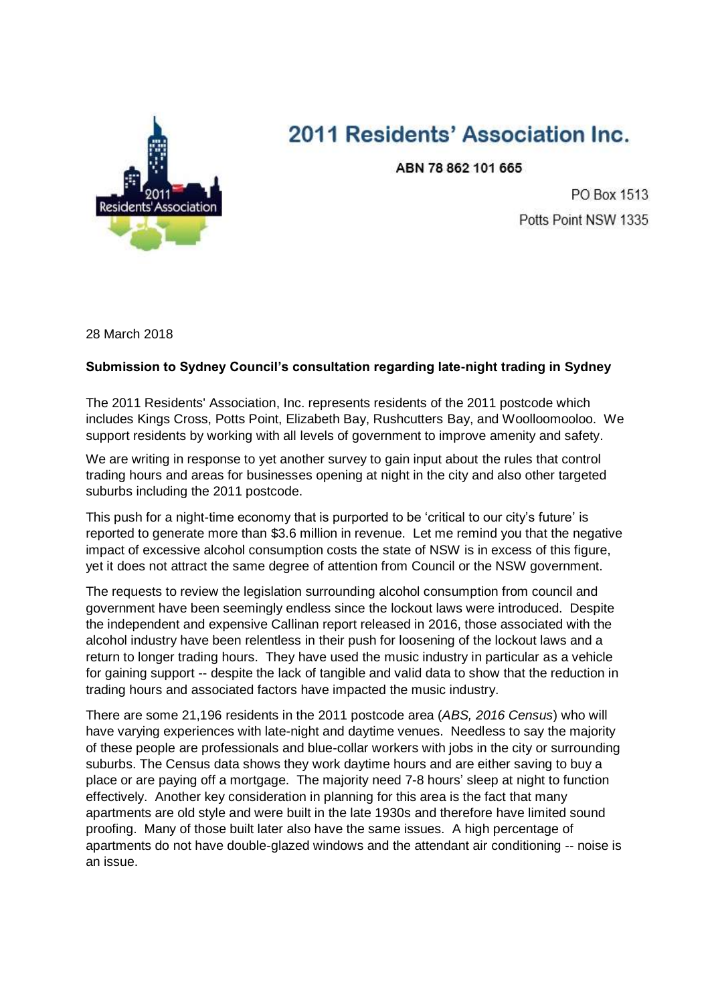

## 2011 Residents' Association Inc.

ABN 78 862 101 665

PO Box 1513 Potts Point NSW 1335

28 March 2018

## **Submission to Sydney Council's consultation regarding late-night trading in Sydney**

The 2011 Residents' Association, Inc. represents residents of the 2011 postcode which includes Kings Cross, Potts Point, Elizabeth Bay, Rushcutters Bay, and Woolloomooloo. We support residents by working with all levels of government to improve amenity and safety.

We are writing in response to yet another survey to gain input about the rules that control trading hours and areas for businesses opening at night in the city and also other targeted suburbs including the 2011 postcode.

This push for a night-time economy that is purported to be 'critical to our city's future' is reported to generate more than \$3.6 million in revenue. Let me remind you that the negative impact of excessive alcohol consumption costs the state of NSW is in excess of this figure, yet it does not attract the same degree of attention from Council or the NSW government.

The requests to review the legislation surrounding alcohol consumption from council and government have been seemingly endless since the lockout laws were introduced. Despite the independent and expensive Callinan report released in 2016, those associated with the alcohol industry have been relentless in their push for loosening of the lockout laws and a return to longer trading hours. They have used the music industry in particular as a vehicle for gaining support -- despite the lack of tangible and valid data to show that the reduction in trading hours and associated factors have impacted the music industry.

There are some 21,196 residents in the 2011 postcode area (*ABS, 2016 Census*) who will have varying experiences with late-night and daytime venues. Needless to say the majority of these people are professionals and blue-collar workers with jobs in the city or surrounding suburbs. The Census data shows they work daytime hours and are either saving to buy a place or are paying off a mortgage. The majority need 7-8 hours' sleep at night to function effectively. Another key consideration in planning for this area is the fact that many apartments are old style and were built in the late 1930s and therefore have limited sound proofing. Many of those built later also have the same issues. A high percentage of apartments do not have double-glazed windows and the attendant air conditioning -- noise is an issue.